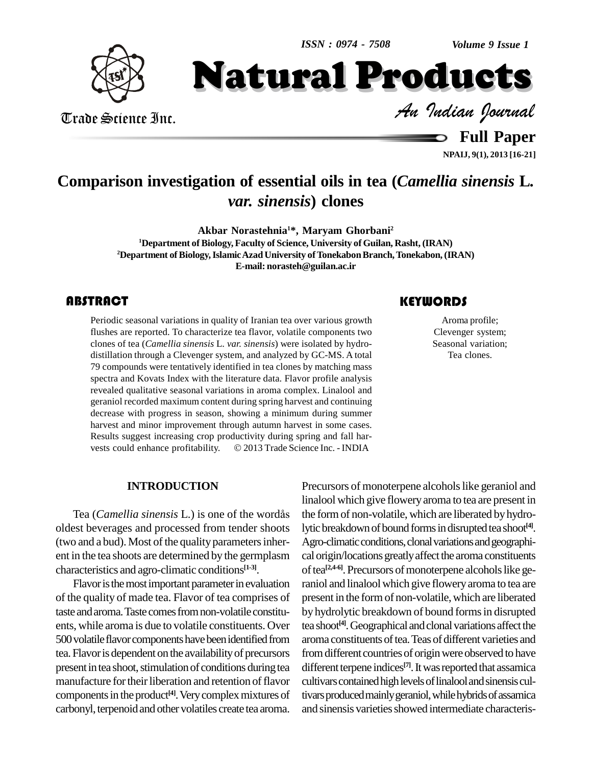*Volume 9 Issue 1*



Trade Science Inc. Trade Science Inc.

 *Indian Journal* Natural Products

> **Full Paper NPAIJ, 9(1), 2013 [16-21]**

## **Comparison investigation of essential oils in tea (***Camellia sinensis* **L***. var. sinensis***) clones**

**Akbar Norastehnia <sup>1</sup>\*, Maryam Ghorbani<sup>2</sup>**

**<sup>1</sup>Department of Biology, Faculty of Science, University of Guilan, Rasht, (IRAN)** <sup>2</sup>Department of Biology, Islamic Azad University of Tonekabon Branch, Tonekabon, (IRAN) **E-mail: [norasteh@guilan.ac.ir](mailto:norasteh@guilan.ac.ir)**

#### **ABSTRACT**

Periodic seasonal variations in quality of Iranian tea over various growth<br>
flushes are reported. To characterize tea flavor, volatile components two<br>
clones of tea (*Camellia sinensis* L. var. sinensis) were isolated by h Periodic seasonal variations in quality of Iranian tea over various growth flushes are reported. To characterize tea flavor, volatile components two clones of tea (*Camellia sinensis* L. *var. sinensis*) were isolated by hydro distillation through a Clevenger system, and analyzed by GC-MS. A total 79 compounds were tentatively identified in tea clones by matching mass spectra and Kovats Index with the literature data. Flavor profile analysis revealed qualitative seasonal variations in aroma complex. Linalool and geraniol recorded maximum content during spring harvest and continuing decrease with progress in season, showing a minimum during summer harvest and minor improvement through autumn harvest in some cases.<br>Results suggest increasing crop productivity during spring and fall harvests could enhance profitability.  $\odot$  2013 Trade Science Inc. - INDIA Results suggest increasing crop productivity during spring and fall har-

#### **KEYWORDS**

Aroma profile; Clevenger system; Seasonal variation; Tea clones.

#### **INTRODUCTION**

Tea (*Camellia sinensis* L.) is one of the wordÂs oldest beverages and processed from tender shoots (two and a bud). Most of the quality parameters inherent in the tea shoots are determined by the germplasm characteristics and agro-climatic conditions **[1-3]**.

Flavor is the most important parameter in evaluation of the quality of made tea. Flavor of tea comprises of taste and aroma. Taste comes from non-volatile constituents, while aroma is due to volatile constituents. Over 500volatileflavorcomponentshavebeenidentifiedfrom tea.Flavoris dependent on the availabilityof precursors present in tea shoot, stimulation of conditions during tea manufacture for their liberation and retention of flavor components in the product<sup>[4]</sup>. Very complex mixtures of tival carbonyl, terpenoid and other volatiles create tea aroma.

Precursors of monoterpene alcohols like geraniol and linalool which give flowery aroma to tea are present in the form of non-volatile, which are liberated by hydrolytic breakdown of bound forms in disrupted tea shoot<sup>[4]</sup>. Agro-climatic conditions, clonal variations and geographical origin/locations greatly affect the aroma constituents of tea<sup>[2,4-6]</sup>. Precursors of monoterpene alcohols like geraniol and linalool which give flowery aroma to tea are present in the formof non-volatile,which are liberated by hydrolytic breakdown of bound forms in disrupted tea shoot<sup>[4]</sup>. Geographical and clonal variations affect the aroma constituents of tea. Teas of different varieties and from different countries of origin were observed to have different terpene indices<sup>[7]</sup>. It was reported that assamica cultivars contained high levels of linalool and sinensis cultivars produced mainly geraniol, while hybrids of assamica and sinensis varieties showed intermediate characteris-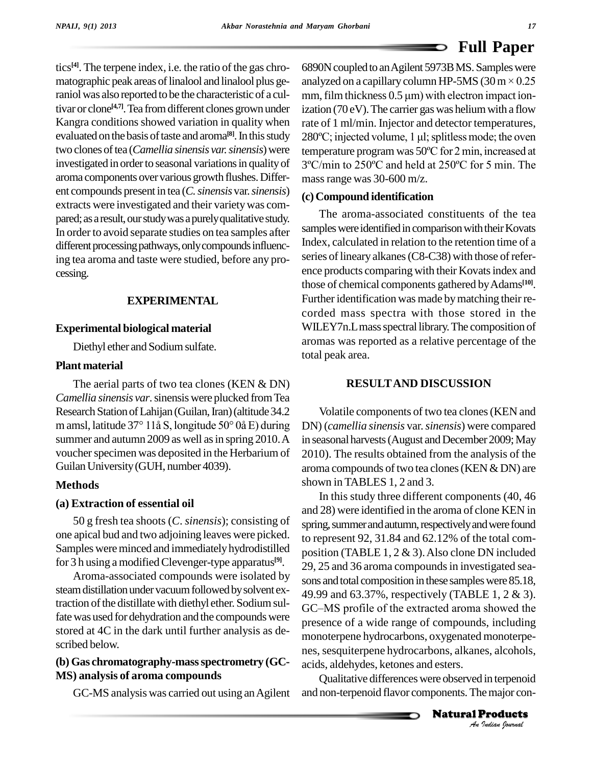tics<sup>[4]</sup>. The terpene index, i.e. the ratio of the gas chro- 689 raniol was also reported to be the characteristic of a cultivar or clone<sup>[4,7]</sup>. Tea from different clones grown under izat Kangra conditions showed variation in quality when evaluated on the basis of taste and aroma<sup>[8]</sup>. In this study 280°C; aroma components over various growth flushes. Different compounds present in tea (*C.sinensis* var.*sinensis*) extracts were investigated and their varietywas com pared; as a result, our study was a purely qualitative study. In order to avoid separate studies on tea samples after different processing pathways, only compounds influencing tea aroma and taste were studied, before any pro cessing.

#### **EXPERIMENTAL**

#### **Experimental biological material**

Diethyl ether and Sodium sulfate.

#### **Plant material**

The aerial parts of two tea clones (KEN & DN) *Camellia sinensis var*.sinensis were plucked fromTea Research Station of Lahijan (Guilan, Iran) (altitude 34.2 <sup>m</sup> amsl, latitude <sup>37</sup>° 11Â S, longitude 50° 0Â E) during summer and autumn 2009 as well as in spring 2010. A voucher specimen was deposited in the Herbarium of Guilan University (GUH, number 4039).

#### **Methods**

#### **(a) Extraction of essential oil**

50 g fresh tea shoots (*C*. *sinensis*); consisting of one apical bud and two adjoining leaves were picked. Samples were minced and immediately hydrodistilled for 3 h using a modified Clevenger-type apparatus<sup>[9]</sup>.  $\frac{1}{2}$ 

Aroma-associated compounds were isolated by steam distillation under vacuum followed by solvent extraction of the distillate with diethyl ether. Sodium sulfactuon of the distinct with distinguished the compounds were<br>fate was used for dehydration and the compounds were reasonse of a wide range of compounds, including stored at 4C in the dark until further analysis as de scribed below.

#### **(b) Gas chromatography-massspectrometry (GC- MS) analysis of aroma compounds**

GC-MS analysis was carried out using anAgilent

matographic peak areas of linalool and linalool plus ge- analyzed on a capillary column HP-5MS (30 m  $\times$  0.25 two clones of tea (*Camellia sinensis var. sinensis*) were temperature program was 50°C for 2 min, increased at investigated in order to seasonal variations in quality of  $3^{\circ}$ C/min to 250 $^{\circ}$ C and held at 250 $^{\circ}$ C for 5 min. The 6890N coupled to an Agilent 5973B MS. Samples were **E UILT APEI**<br>6890N coupled to an Agilent 5973B MS. Samples were<br>analyzed on a capillary column HP-5MS (30 m  $\times$  0.25 mm, film thickness  $0.5 \mu m$ ) with electron impact ionization (70 eV). The carrier gas was helium with a flow rate of 1 ml/min. Injector and detector temperatures, ization (70 eV). The carrier gas was helium with a flow<br>rate of 1 ml/min. Injector and detector temperatures,<br>280°C; injected volume, 1 µl; splitless mode; the oven rate of 1 ml/min. Injector and detector temperatures,<br>280°C; injected volume, 1 µl; splitless mode; the oven<br>temperature program was 50°C for 2 min, increased at 280°C; injected volume, 1 µl; splitless mode; the oven<br>temperature program was 50°C for 2 min, increased at<br>3°C/min to 250°C and held at 250°C for 5 min. The massrange was 30-600 m/z.

#### **(c)Compound identification**

The aroma-associated constituents of the tea samples were identified in comparison with their Kovats Index, calculated in relation to the retention time of a series of lineary alkanes (C8-C38) with those of reference products comparing with their Kovatsindex and those of chemical components gathered byAdams **[10]**. Further identification was made by matching their recorded mass spectra with those stored in the WILEY7n.L mass spectral library. The composition of aromas was reported as a relative percentage of the total peak area.

#### **RESULTAND DISCUSSION**

Volatile components of two tea clones(KEN and DN) (*camellia sinensis* var.*sinensis*) were compared in seasonal harvests (August and December 2009; May 2010). The results obtained from the analysis of the aroma compounds of two tea clones (KEN & DN) are shown in TABLES 1, 2 and 3.

monoterpene hydrocarbons, oxygenated monoterpe-*Indianal*<br>*Interpenoid*<br>*Products*<br>*Products* In this study three different components (40, 46 and 28) were identified in the aroma of clone KEN in spring, summer and autumn, respectively and were found to represent 92, 31.84 and 62.12% of the total com position (TABLE  $1, 2 \& 3$ ). Also clone DN included 29, 25 and 36 aroma compounds in investigated seasons and total composition in these samples were 85.18, 49.99 and 63.37%, respectively (TABLE 1, 2 & 3). sons and total composition in these samples were 85.18,<br>49.99 and 63.37%, respectively (TABLE 1, 2 & 3).<br>GC–MS profile of the extracted aroma showed the presence of a wide range of compounds, including nes, sesquiterpene hydrocarbons, alkanes, alcohols, acids, aldehydes, ketones and esters.

Qualitative differenceswere observed in terpenoid and non-terpenoid flavor components. The major con-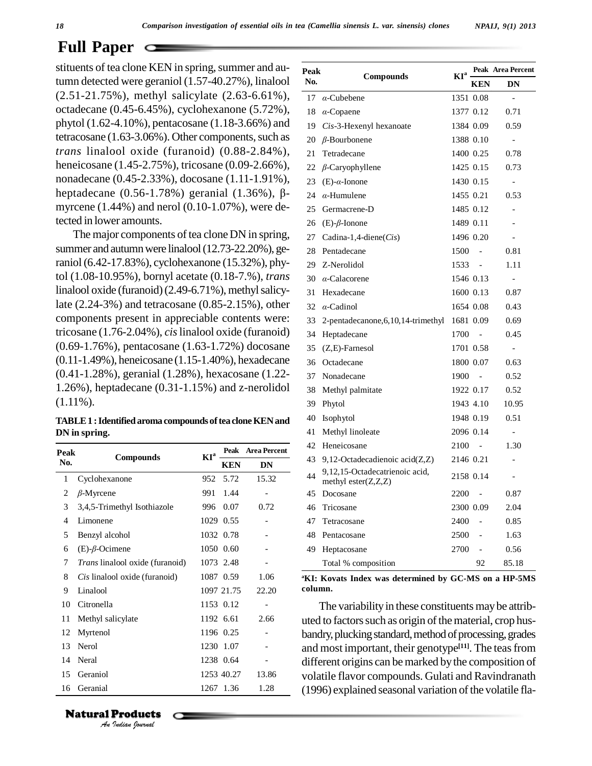stituents of tea clone KEN in spring, summer and au- $\overline{p}$ tumn detected were geraniol (1.57-40.27%), linalool (2.51-21.75%), methyl salicylate (2.63-6.61%), octadecane (0.45-6.45%), cyclohexanone (5.72%), phytol (1.62-4.10%), pentacosane (1.18-3.66%) and tetracosane  $(1.63-3.06\%)$ . Other components, such as *trans* linalool oxide (furanoid) (0.88-2.84%), heneicosane (1.45-2.75%), tricosane (0.09-2.66%), nonadecane (0.45-2.33%), docosane (1.11-1.91%), 2 heneicosane (1.45-2.75%), tricosane (0.09-2.66%),  $22$ <br>nonadecane (0.45-2.33%), docosane (1.11-1.91%),  $23$ <br>heptadecane (0.56-1.78%) geranial (1.36%),  $\beta$ - $24$ myrcene (1.44%) and nerol (0.10-1.07%), were detected in lower amounts.

The major components of tea clone DN in spring, summer and autumn were linalool (12.73-22.20%), geraniol(6.42-17.83%), cyclohexanone (15.32%), phytol (1.08-10.95%), bornyl acetate (0.18-7.%), *trans* linalool oxide (furanoid) $(2.49-6.71\%)$ , methyl salicylate (2.24-3%) and tetracosane (0.85-2.15%), other components present in appreciable contents were: tricosane (1.76-2.04%), *cis*linalool oxide (furanoid) (0.69-1.76%), pentacosane (1.63-1.72%) docosane (0.11-1.49%), heneicosane (1.15-1.40%), hexadecane (0.41-1.28%), geranial (1.28%), hexacosane (1.22- 1.26%), heptadecane (0.31-1.15%) and z-nerolidol (1.11%).

**TABLE1 :Identifiedaroma compounds oftea cloneKENand DN in spring.**

| Peak |                                 | KI <sup>a</sup> |            | Peak Area Percent<br><b>DN</b> |  |
|------|---------------------------------|-----------------|------------|--------------------------------|--|
| No.  | <b>Compounds</b>                |                 | <b>KEN</b> |                                |  |
| 1    | Cyclohexanone                   | 952             | 5.72       | 15.32                          |  |
| 2    | $\beta$ -Myrcene                | 991             | 1.44       |                                |  |
| 3    | 3,4,5-Trimethyl Isothiazole     | 996             | 0.07       | 0.72                           |  |
| 4    | Limonene                        |                 | 1029 0.55  |                                |  |
| 5    | Benzyl alcohol                  |                 | 1032 0.78  |                                |  |
| 6    | $(E)-\beta$ -Ocimene            |                 | 1050 0.60  |                                |  |
| 7    | Trans linalool oxide (furanoid) |                 | 1073 2.48  |                                |  |
| 8    | Cis linalool oxide (furanoid)   |                 | 1087 0.59  | 1.06                           |  |
| 9    | Linalool                        |                 | 1097 21.75 | 22.20                          |  |
| 10   | Citronella                      |                 | 1153 0.12  |                                |  |
| 11   | Methyl salicylate               |                 | 1192 6.61  | 2.66                           |  |
| 12   | Myrtenol                        |                 | 1196 0.25  |                                |  |
| 13   | Nerol                           |                 | 1230 1.07  |                                |  |
| 14   | Neral                           |                 | 1238 0.64  |                                |  |
| 15   | Geraniol                        |                 | 1253 40.27 | 13.86                          |  |
| 16   | Geranial                        |                 | 1267 1.36  | 1.28                           |  |

| Peak |                                                            | $KI^a$ |                          | Peak Area Percent        |
|------|------------------------------------------------------------|--------|--------------------------|--------------------------|
| No.  | Compounds                                                  |        | <b>KEN</b>               | DN                       |
| 17   | $\alpha$ -Cubebene                                         |        | 1351 0.08                | $\overline{a}$           |
| 18   | $\alpha$ -Copaene                                          |        | 1377 0.12                | 0.71                     |
| 19   | Cis-3-Hexenyl hexanoate                                    |        | 1384 0.09                | 0.59                     |
|      | 20 $\beta$ -Bourbonene                                     |        | 1388 0.10                | $\qquad \qquad -$        |
| 21   | Tetradecane                                                |        | 1400 0.25                | 0.78                     |
| 22   | $\beta$ -Caryophyllene                                     |        | 1425 0.15                | 0.73                     |
| 23   | $(E)$ - $\alpha$ -Ionone                                   |        | 1430 0.15                | $\qquad \qquad -$        |
| 24   | $\alpha$ -Humulene                                         |        | 1455 0.21                | 0.53                     |
| 25   | Germacrene-D                                               |        | 1485 0.12                | $\overline{a}$           |
| 26   | $(E)-\beta$ -Ionone                                        |        | 1489 0.11                |                          |
| 27   | Cadina-1,4-diene(Cis)                                      |        | 1496 0.20                |                          |
| 28   | Pentadecane                                                | 1500   |                          | 0.81                     |
| 29   | Z-Nerolidol                                                | 1533   |                          | 1.11                     |
| 30   | $\alpha$ -Calacorene                                       |        | 1546 0.13                |                          |
| 31   | Hexadecane                                                 |        | 1600 0.13                | 0.87                     |
| 32   | $\alpha$ -Cadinol                                          |        | 1654 0.08                | 0.43                     |
| 33   | 2-pentadecanone, 6, 10, 14-trimethyl                       |        | 1681 0.09                | 0.69                     |
| 34   | Heptadecane                                                | 1700   | $\sim$                   | 0.45                     |
| 35   | $(Z,E)$ -Farnesol                                          |        | 1701 0.58                | $\overline{\phantom{m}}$ |
|      | 36 Octadecane                                              |        | 1800 0.07                | 0.63                     |
| 37   | Nonadecane                                                 | 1900   | $\sim$                   | 0.52                     |
| 38   | Methyl palmitate                                           |        | 1922 0.17                | 0.52                     |
| 39   | Phytol                                                     |        | 1943 4.10                | 10.95                    |
| 40   | <b>Isophytol</b>                                           |        | 1948 0.19                | 0.51                     |
| 41   | Methyl linoleate                                           |        | 2096 0.14                | $\overline{a}$           |
| 42   | Heneicosane                                                | 2100   | $\sim$                   | 1.30                     |
| 43   | 9,12-Octadecadienoic $\text{acid}(Z, Z)$                   |        | 2146 0.21                |                          |
| 44   | 9,12,15-Octadecatrienoic acid,<br>methyl ester $(Z, Z, Z)$ |        | 2158 0.14                |                          |
| 45   | Docosane                                                   | 2200   | $\overline{\phantom{a}}$ | 0.87                     |
| 46   | Tricosane                                                  |        | 2300 0.09                | 2.04                     |
| 47   | Tetracosane                                                | 2400   |                          | 0.85                     |
| 48   | Pentacosane                                                | 2500   | $\overline{a}$           | 1.63                     |
| 49   | Heptacosane                                                | 2700   | $\overline{\phantom{0}}$ | 0.56                     |
|      | Total % composition                                        |        | 92                       | 85.18                    |
|      |                                                            |        |                          |                          |

**<sup>a</sup>KI: Kovats Index was determined by GC-MS on a HP-5MS column.**

The variability in these constituents may be attributed to factors such as origin of the material, crop husbandry, plucking standard, method of processing, grades and most important, their genotype<sup>[11]</sup>. The teas from different origins can be marked by the composition of volatile flavor compounds. Gulati and Ravindranath  $(1996)$  explained seasonal variation of the volatile fla-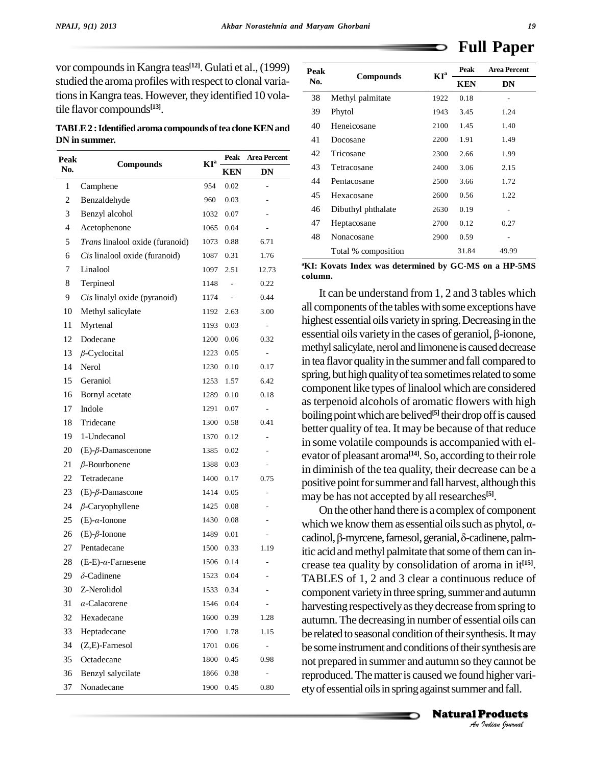vor compounds in Kangra teas<sup>[12]</sup>. Gulati et al., (1999)  $\qquad \qquad$ <sub>Pes</sub> studied the aroma profiles with respect to clonal variations in Kangra teas. However, they identified 10 volatile flavor compounds **[13]**.

**TABLE2 :Identifiedaroma compounds oftea cloneKENand DN in summer.**

| Peak           |                                 | $KI^a$ | <b>Peak</b>   | <b>Area Percent</b>      |  |
|----------------|---------------------------------|--------|---------------|--------------------------|--|
| No.            | <b>Compounds</b>                |        | <b>KEN</b>    | DN                       |  |
| $\mathbf{1}$   | Camphene                        | 954    | 0.02          | $\overline{a}$           |  |
| $\mathfrak{2}$ | Benzaldehyde                    | 960    | 0.03          |                          |  |
| 3              | Benzyl alcohol                  | 1032   | 0.07          |                          |  |
| 4              | Acetophenone                    | 1065   | 0.04          |                          |  |
| 5              | Trans linalool oxide (furanoid) | 1073   | 0.88          | 6.71                     |  |
| 6              | Cis linalool oxide (furanoid)   | 1087   | 0.31          | 1.76                     |  |
| 7              | Linalool                        | 1097   | 2.51          | 12.73                    |  |
| 8              | Terpineol                       | 1148   |               | 0.22                     |  |
| 9              | Cis linalyl oxide (pyranoid)    | 1174   | $\frac{1}{2}$ | 0.44                     |  |
| 10             | Methyl salicylate               | 1192   | 2.63          | 3.00                     |  |
| 11             | Myrtenal                        | 1193   | 0.03          | $\overline{\phantom{a}}$ |  |
| 12             | Dodecane                        | 1200   | 0.06          | 0.32                     |  |
| 13             | $\beta$ -Cyclocital             | 1223   | 0.05          |                          |  |
| 14             | Nerol                           | 1230   | 0.10          | 0.17                     |  |
| 15             | Geraniol                        | 1253   | 1.57          | 6.42                     |  |
| 16             | Bornyl acetate                  | 1289   | 0.10          | 0.18                     |  |
| 17             | Indole                          | 1291   | 0.07          |                          |  |
| 18             | Tridecane                       | 1300   | 0.58          | 0.41                     |  |
| 19             | 1-Undecanol                     | 1370   | 0.12          | $\overline{a}$           |  |
| 20             | $(E)-\beta$ -Damascenone        | 1385   | 0.02          |                          |  |
| 21             | $\beta$ -Bourbonene             | 1388   | 0.03          |                          |  |
| 22             | Tetradecane                     | 1400   | 0.17          | 0.75                     |  |
| 23             | $(E)-\beta$ -Damascone          | 1414   | 0.05          |                          |  |
| 24             | $\beta$ -Caryophyllene          | 1425   | 0.08          |                          |  |
| 25             | $(E)$ - $\alpha$ -Ionone        | 1430   | 0.08          |                          |  |
| 26             | $(E)-\beta$ -Ionone             | 1489   | 0.01          |                          |  |
| 27             | Pentadecane                     | 1500   | 0.33          | 1.19                     |  |
| 28             | $(E-E)$ - $\alpha$ -Farnesene   | 1506   | 0.14          |                          |  |
| 29             | $\delta$ -Cadinene              | 1523   | 0.04          |                          |  |
| 30             | Z-Nerolidol                     | 1533   | 0.34          |                          |  |
| 31             | $\alpha$ -Calacorene            | 1546   | 0.04          |                          |  |
| 32             | Hexadecane                      | 1600   | 0.39          | 1.28                     |  |
| 33             | Heptadecane                     | 1700   | 1.78          | 1.15                     |  |
| 34             | (Z,E)-Farnesol                  | 1701   | $0.06\,$      |                          |  |
| 35             | Octadecane                      | 1800   | 0.45          | 0.98                     |  |
| 36             | Benzyl salycilate               | 1866   | 0.38          | $\overline{\phantom{a}}$ |  |
| 37             | Nonadecane                      | 1900   | 0.45          | 0.80                     |  |

| Peak |                     | $KI^a$ | Peak       | <b>Area Percent</b> |  |  |
|------|---------------------|--------|------------|---------------------|--|--|
| No.  | Compounds           |        | <b>KEN</b> | DN                  |  |  |
| 38   | Methyl palmitate    | 1922   | 0.18       |                     |  |  |
| 39   | Phytol              | 1943   | 3.45       | 1.24                |  |  |
| 40   | Heneicosane         | 2100   | 1.45       | 1.40                |  |  |
| 41   | Docosane            | 2200   | 1.91       | 1.49                |  |  |
| 42   | Tricosane           | 2300   | 2.66       | 1.99                |  |  |
| 43   | Tetracosane         | 2400   | 3.06       | 2.15                |  |  |
| 44   | Pentacosane         | 2500   | 3.66       | 1.72                |  |  |
| 45   | Hexacosane          | 2600   | 0.56       | 1.22                |  |  |
| 46   | Dibuthyl phthalate  | 2630   | 0.19       |                     |  |  |
| 47   | Heptacosane         | 2700   | 0.12       | 0.27                |  |  |
| 48   | Nonacosane          | 2900   | 0.59       |                     |  |  |
|      | Total % composition |        | 31.84      | 49.99               |  |  |

**<sup>a</sup>KI: Kovats Index was determined by GC-MS on a HP-5MS column.**

It can be understand from 1, 2 and 3 tables which all components of the tables with some exceptions have<br>highest essential oils variety in spring. Decreasing in the<br>essential oils variety in the cases of geraniol,  $\beta$ -ionone, highest essential oils variety in spring. Decreasing in the methyl salicylate, nerol and limonene is caused decrease in tea flavor quality in the summer and fall compared to spring, but high quality of tea sometimes related to some component like types of linalool which are considered as terpenoid alcohols of aromatic flowers with high boiling point which are belived<sup>[5]</sup> their drop off is caused better quality of tea. It may be because of that reduce in some volatile compounds is accompanied with el-<br>evator of pleasant aroma<sup>[14]</sup>. So, according to their role in diminish of the tea quality, their decrease can be a positive point for summer and fall harvest, although this may be has not accepted by all researches **[5]**.

**Analyzing the some instrument and conditions of their synthesis are** not prepared in summer and autumn so they cannot be reproduced. The matter is caused we found higher variety of essential oils in spring against summer On the other hand there is a complex of component may be has not accepted by all researches<sup>[5]</sup>.<br>On the other hand there is a complex of component<br>which we know them as essential oils such as phytol,  $\alpha$ -On the other hand there is a complex of component<br>which we know them as essential oils such as phytol, α-cadinol, β-myrcene, farnesol, geranial, δ-cadinene, palmitic acid and methyl palmitate that some of them can increase tea quality by consolidation of aroma in it<sup>[15]</sup>. TABLES of 1, 2 and 3 clear a continuous reduce of component variety in three spring, summer and autumn harvesting respectively as they decrease from spring to autumn.The decreasing in number of essential oils can be related to seasonal condition of their synthesis. It may not prepared in summer and autumn so theycannot be reproduced. The matter is caused we found higher variety of essential oils in spring against summer and fall.

**Natural Products**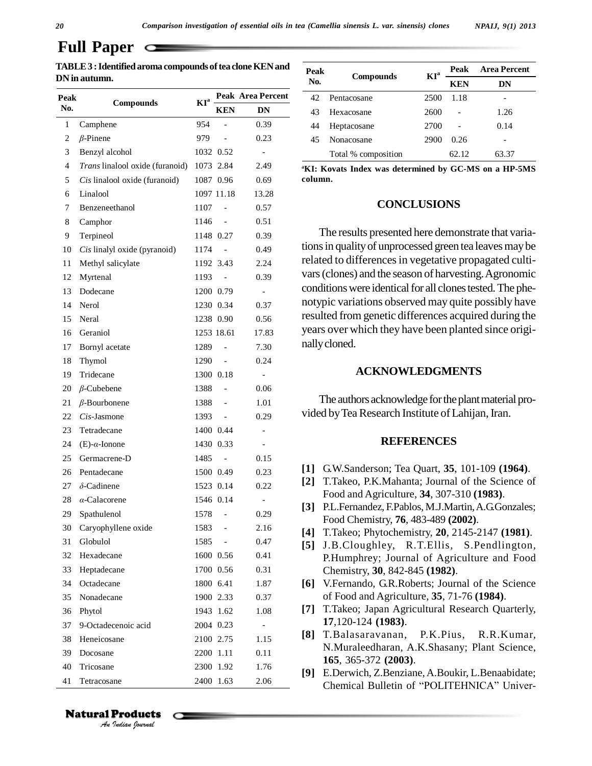| TABLE 3 : Identified aroma compounds of tea clone KEN and | Peak |
|-----------------------------------------------------------|------|
| DN in autumn.                                             |      |

| Peak   |                                 | $KI^a$ |                | Peak Area Percent        |  |  |
|--------|---------------------------------|--------|----------------|--------------------------|--|--|
| No.    | Compounds                       |        | <b>KEN</b>     | DN                       |  |  |
| 1      | Camphene                        | 954    |                | 0.39                     |  |  |
| 2      | $\beta$ -Pinene                 | 979    |                | 0.23                     |  |  |
| 3      | Benzyl alcohol                  |        | 1032 0.52      |                          |  |  |
| 4      | Trans linalool oxide (furanoid) | 1073   | 2.84           | 2.49                     |  |  |
| 5      | Cis linalool oxide (furanoid)   |        | 1087 0.96      | 0.69                     |  |  |
| 6      | Linalool                        |        | 1097 11.18     | 13.28                    |  |  |
| 7      | Benzeneethanol                  | 1107   |                | 0.57                     |  |  |
| 8      | Camphor                         | 1146   |                | 0.51                     |  |  |
| 9      | Terpineol                       |        | 1148 0.27      | 0.39                     |  |  |
| 10     | Cis linalyl oxide (pyranoid)    | 1174   |                | 0.49                     |  |  |
| 11     | Methyl salicylate               |        | 1192 3.43      | 2.24                     |  |  |
| 12     | Myrtenal                        | 1193   |                | 0.39                     |  |  |
| 13     | Dodecane                        |        | 1200 0.79      |                          |  |  |
| 14     | Nerol                           |        | 1230 0.34      | 0.37                     |  |  |
| 15     | Neral                           |        | 1238 0.90      | 0.56                     |  |  |
| 16     | Geraniol                        |        | 1253 18.61     | 17.83                    |  |  |
| 17     | Bornyl acetate                  | 1289   |                | 7.30                     |  |  |
| 18     | Thymol                          | 1290   |                | 0.24                     |  |  |
| 19     | Tridecane                       |        | 1300 0.18      | $\overline{\phantom{0}}$ |  |  |
| $20\,$ | $\beta$ -Cubebene               | 1388   |                | 0.06                     |  |  |
| 21     | $\beta$ -Bourbonene             | 1388   | $\equiv$       | 1.01                     |  |  |
| 22     | Cis-Jasmone                     | 1393   |                | 0.29                     |  |  |
| 23     | Tetradecane                     |        | 1400 0.44      |                          |  |  |
| 24     | $(E)$ - $\alpha$ -Ionone        |        | 1430 0.33      |                          |  |  |
| 25     | Germacrene-D                    | 1485   |                | 0.15                     |  |  |
| 26     | Pentadecane                     |        | 1500 0.49      | 0.23                     |  |  |
| 27     | $\delta$ -Cadinene              |        | 1523 0.14      | 0.22                     |  |  |
| 28     | $\alpha$ -Calacorene            |        | 1546 0.14      |                          |  |  |
| 29     | Spathulenol                     | 1578   | $\overline{a}$ | 0.29                     |  |  |
| 30     | Caryophyllene oxide             | 1583   |                | 2.16                     |  |  |
| 31     | Globulol                        | 1585   |                | 0.47                     |  |  |
| 32     | Hexadecane                      |        | 1600 0.56      | 0.41                     |  |  |
| 33     | Heptadecane                     |        | 1700 0.56      | 0.31                     |  |  |
| 34     | Octadecane                      |        | 1800 6.41      | 1.87                     |  |  |
| 35     | Nonadecane                      |        | 1900 2.33      | 0.37                     |  |  |
| 36     | Phytol                          | 1943   | 1.62           | 1.08                     |  |  |
| 37     | 9-Octadecenoic acid             |        | 2004 0.23      |                          |  |  |
| 38     | Heneicosane                     |        | 2100 2.75      | 1.15                     |  |  |
| 39     | Docosane                        | 2200   | 1.11           | 0.11                     |  |  |
| 40     | Tricosane                       | 2300   | 1.92           | 1.76                     |  |  |
| 41     | Tetracosane                     | 2400   | 1.63           | 2.06                     |  |  |

| TABLE 3 : Identified aroma compounds of tea clone KEN and |                  |        | Peak<br><b>Compounds</b> |                   | $KI^a$ | Peak                | <b>Area Percent</b> |                              |       |  |
|-----------------------------------------------------------|------------------|--------|--------------------------|-------------------|--------|---------------------|---------------------|------------------------------|-------|--|
| DN in autumn.                                             |                  |        |                          | No.               |        |                     | <b>KEN</b>          | DN                           |       |  |
| Peak                                                      | <b>Compounds</b> | $KI^a$ |                          | Peak Area Percent | 42     | Pentacosane         | 2500                | 1.18                         |       |  |
| No.                                                       |                  |        | <b>KEN</b>               | DN                | 43     | Hexacosane          | 2600                | $\qquad \qquad \blacksquare$ | 1.26  |  |
|                                                           | Camphene         | 954    |                          | 0.39              | 44     | Heptacosane         | 2700                | $\overline{\phantom{a}}$     | 0.14  |  |
|                                                           | $\beta$ -Pinene  | 979    | $\overline{\phantom{0}}$ | 0.23              | 45     | Nonacosane          | 2900                | 0.26                         |       |  |
|                                                           | Benzyl alcohol   |        | 1032 0.52                |                   |        | Total % composition |                     | 62.12                        | 63.37 |  |
|                                                           | .                |        |                          |                   |        |                     |                     |                              |       |  |

**<sup>a</sup>KI: Kovats Index was determined by GC-MS on a HP-5MS column.**

#### **CONCLUSIONS**

The results presented here demonstrate that variations in quality of unprocessed green tea leaves may be related to differences in vegetative propagated cultivars(clones) and the season of harvesting.Agronomic conditions were identical for all clones tested. The phenotypic variations observed may quite possibly have resulted from genetic differences acquired during the years over which they have been planted since origi nallycloned.

#### **ACKNOWLEDGMENTS**

The authors acknowledge for the plant material provided by Tea Research Institute of Lahijan, Iran.

#### **REFERENCES**

- **[1]** G.W.Sanderson; Tea Quart, **35**, 101-109 **(1964)**.
- **[2]** T.Takeo, P.K.Mahanta; Journal of the Science of Food and Agriculture, **34**, 307-310 **(1983)**.
- **[3]** P.L.Fernandez, F.Pablos, M.J.Martin,A.G.Gonzales; Food Chemistry, **76**, 483-489 **(2002)**.
- **[4]** T.Takeo; Phytochemistry, **20**, 2145-2147 **(1981)**.
- **[5]** J.B.Cloughley, R.T.Ellis, S.Pendlington, P.Humphrey; Journal of Agriculture and Food Chemistry, **30**, 842-845 **(1982)**.
- **[6]** V.Fernando, G.R.Roberts; Journal of the Science of Food and Agriculture, **35**, 71-76 **(1984)**.
- **[7]** T.Takeo; Japan Agricultural Research Quarterly, **17**,120-124 **(1983)**.
- **[8]** T.Balasaravanan, P.K.Pius, R.R.Kumar, N.Muraleedharan, A.K.Shasany; Plant Science, **165**, 365-372 **(2003)**.
- **[9]** E.Derwich, Z.Benziane,A.Boukir, L.Benaabidate; **165**, 365-372 (**2003**).<br>E.Derwich, Z.Benziane, A.Boukir, L.Benaabidate;<br>Chemical Bulletin of "POLITEHNICA" Univer-